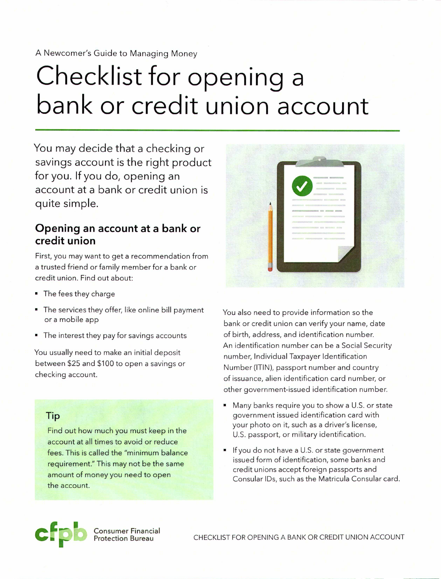#### A Newcomer's Guide to Managing Money

# Checklist for opening a **bank or credit union account**

You may decide that a checking or savings account is the right product for you. If you do, opening an account at a bank or credit union is quite simple.

### **Opening an account at a bank or credit union**

First, you may want to get a recommendation from a trusted friend or family member for a bank or credit union. Find out about:

- The fees they charge
- The services they offer, like online bill payment or a mobile app
- The interest they pay for savings accounts

You usually need to make an initial deposit between \$25 and \$100 to open a savings or checking account.

#### Tip

Find out how much you must keep in the account at all times to avoid or reduce fees. This is called the "minimum balance requirement." This may not be the same amount of money you need to open the account.



You also need to provide information so the bank or credit union can verify your name, date of birth, address, and identification number. An identification number can be a Social Security number, Individual Taxpayer Identification Number (ITIN), passport number and country of issuance, alien identification card number, or other government-issued identification number.

- Many banks require you to show a U.S.or state government issued identification card with your photo on it, such as a driver's license, U.S. passport, or military identification.
- If you do not have a U.S.or state government issued form of identification, some banks and credit unions accept foreign passports and Consular IDs, such asthe Matricula Consular card.



**Consumer Financial**<br>Protection Bureau

CHECKLIST FOR OPENING A BANK OR CREDIT UNION ACCOUNT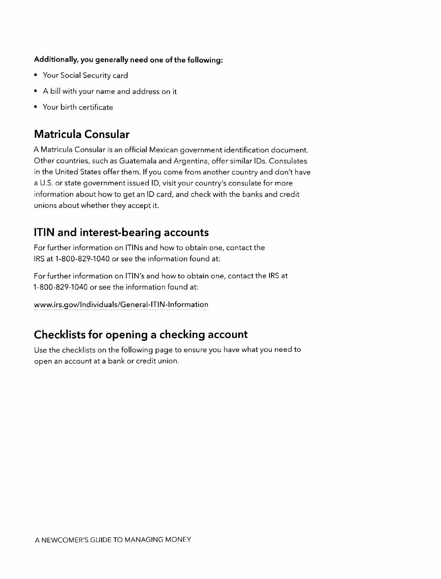#### **Additionally, you generally need one of the following:**

- Your Social Security card
- A bill with your name and address on it
- Your birth certificate

# **Matricula Consular**

A Matricula Consular is an official Mexican government identification document. Other countries, such as Guatemala and Argentina, offer similar IDs. Consulates in the United States offer them. If you come from another country and don't have a U.S. or state government issued ID, visit your country's consulate for more information about how to get an ID card, and check with the banks and credit unions about whether they accept it.

# **ITIN and interest-bearing accounts**

For further information on ITINs and how to obtain one, contact the IRS at 1-800-829-1040 or see the information found at:

For further information on ITIN's and how to obtain one, contact the IRS at 1-800-829-1040 or see the information found at:

www.irs.gov/Individuals/General-ITIN-Information

# **Checklists for opening a checking account**

Use the checklists on the following page to ensure you have what you need to open an account at a bank or credit union.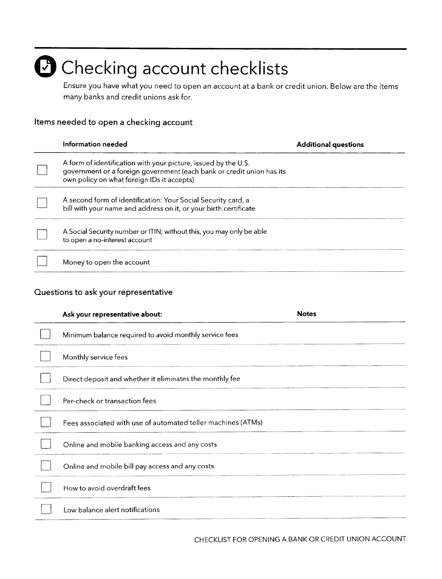# $\bullet$  Checking account checklists

Ensure you have what you need to open an account at a bank or credit union. Below are the items many banks and credit unions ask for.

#### **Items needed to open a checking account**

| Information needed                                                                                                                                                                    | <b>Additional questions</b> |
|---------------------------------------------------------------------------------------------------------------------------------------------------------------------------------------|-----------------------------|
| A form of identification with your picture, issued by the U.S.<br>government or a foreign government (each bank or credit union has its<br>own policy on what foreign IDs it accepts) |                             |
| A second form of identification: Your Social Security card, a<br>bill with your name and address on it, or your birth certificate                                                     |                             |
| A Social Security number or ITIN; without this, you may only be able<br>to open a no-interest account                                                                                 |                             |
| Money to open the account                                                                                                                                                             |                             |

#### **Questions to ask your representative**

| Ask your representative about:                               | <b>Notes</b> |
|--------------------------------------------------------------|--------------|
| Minimum balance required to avoid monthly service fees       |              |
| Monthly service fees                                         |              |
| Direct deposit and whether it eliminates the monthly fee     |              |
| Per-check or transaction fees                                |              |
| Fees associated with use of automated teller machines (ATMs) |              |
| Online and mobile banking access and any costs               |              |
| Online and mobile bill pay access and any costs              |              |
| How to avoid overdraft fees                                  |              |
| Low balance alert notifications                              |              |